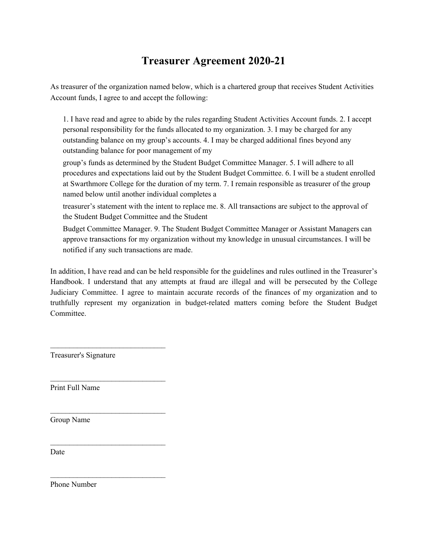## **Treasurer Agreement 2020-21**

As treasurer of the organization named below, which is a chartered group that receives Student Activities Account funds, I agree to and accept the following:

1. I have read and agree to abide by the rules regarding Student Activities Account funds. 2. I accept personal responsibility for the funds allocated to my organization. 3. I may be charged for any outstanding balance on my group's accounts. 4. I may be charged additional fines beyond any outstanding balance for poor management of my

group's funds as determined by the Student Budget Committee Manager. 5. I will adhere to all procedures and expectations laid out by the Student Budget Committee. 6. I will be a student enrolled at Swarthmore College for the duration of my term. 7. I remain responsible as treasurer of the group named below until another individual completes a

treasurer's statement with the intent to replace me. 8. All transactions are subject to the approval of the Student Budget Committee and the Student

Budget Committee Manager. 9. The Student Budget Committee Manager or Assistant Managers can approve transactions for my organization without my knowledge in unusual circumstances. I will be notified if any such transactions are made.

In addition, I have read and can be held responsible for the guidelines and rules outlined in the Treasurer's Handbook. I understand that any attempts at fraud are illegal and will be persecuted by the College Judiciary Committee. I agree to maintain accurate records of the finances of my organization and to truthfully represent my organization in budget-related matters coming before the Student Budget **Committee** 

Treasurer's Signature

 $\mathcal{L}_\text{max}$ 

 $\mathcal{L}_\text{max}$ 

 $\mathcal{L}_\text{max}$ 

 $\mathcal{L}_\text{max}$ 

 $\mathcal{L}_\text{max}$ 

Print Full Name

Group Name

Date

Phone Number